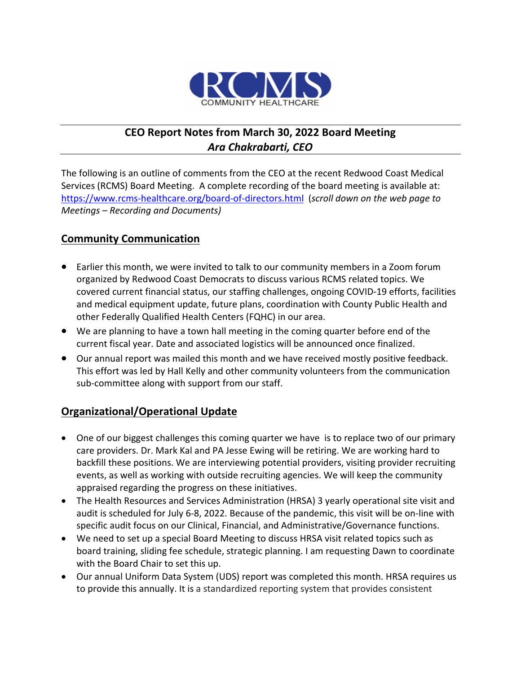

# **CEO Report Notes from March 30, 2022 Board Meeting** *Ara Chakrabarti, CEO*

The following is an outline of comments from the CEO at the recent Redwood Coast Medical Services (RCMS) Board Meeting. A complete recording of the board meeting is available at: <https://www.rcms-healthcare.org/board-of-directors.html>(*scroll down on the web page to Meetings – Recording and Documents)*

### **Community Communication**

- Earlier this month, we were invited to talk to our community members in a Zoom forum organized by Redwood Coast Democrats to discuss various RCMS related topics. We covered current financial status, our staffing challenges, ongoing COVID-19 efforts, facilities and medical equipment update, future plans, coordination with County Public Health and other Federally Qualified Health Centers (FQHC) in our area.
- We are planning to have a town hall meeting in the coming quarter before end of the current fiscal year. Date and associated logistics will be announced once finalized.
- Our annual report was mailed this month and we have received mostly positive feedback. This effort was led by Hall Kelly and other community volunteers from the communication sub-committee along with support from our staff.

#### **Organizational/Operational Update**

- One of our biggest challenges this coming quarter we have is to replace two of our primary care providers. Dr. Mark Kal and PA Jesse Ewing will be retiring. We are working hard to backfill these positions. We are interviewing potential providers, visiting provider recruiting events, as well as working with outside recruiting agencies. We will keep the community appraised regarding the progress on these initiatives.
- The Health Resources and Services Administration (HRSA) 3 yearly operational site visit and audit is scheduled for July 6-8, 2022. Because of the pandemic, this visit will be on-line with specific audit focus on our Clinical, Financial, and Administrative/Governance functions.
- We need to set up a special Board Meeting to discuss HRSA visit related topics such as board training, sliding fee schedule, strategic planning. I am requesting Dawn to coordinate with the Board Chair to set this up.
- Our annual Uniform Data System (UDS) report was completed this month. HRSA requires us to provide this annually. It is a standardized reporting system that provides consistent